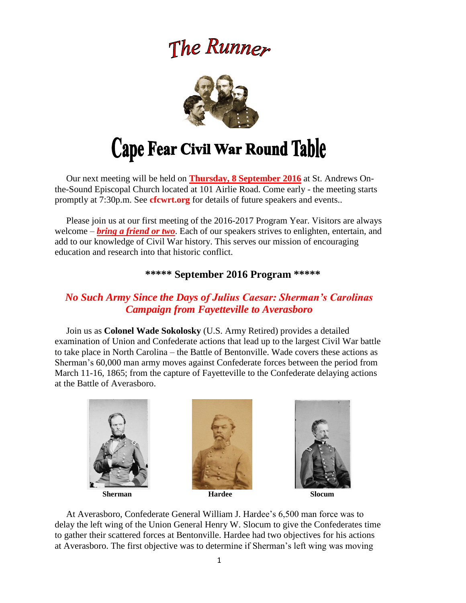# The Runner



# Cape Fear Civil War Round Table

 Our next meeting will be held on **Thursday, 8 September 2016** at St. Andrews Onthe-Sound Episcopal Church located at 101 Airlie Road. Come early - the meeting starts promptly at 7:30p.m. See **cfcwrt.org** for details of future speakers and events..

 Please join us at our first meeting of the 2016-2017 Program Year. Visitors are always welcome – *bring a friend or two*. Each of our speakers strives to enlighten, entertain, and add to our knowledge of Civil War history. This serves our mission of encouraging education and research into that historic conflict.

## **\*\*\*\*\* September 2016 Program \*\*\*\*\***

# *No Such Army Since the Days of Julius Caesar: Sherman's Carolinas Campaign from Fayetteville to Averasboro*

Join us as **Colonel Wade Sokolosky** (U.S. Army Retired) provides a detailed examination of Union and Confederate actions that lead up to the largest Civil War battle to take place in North Carolina – the Battle of Bentonville. Wade covers these actions as Sherman's 60,000 man army moves against Confederate forces between the period from March 11-16, 1865; from the capture of Fayetteville to the Confederate delaying actions at the Battle of Averasboro.







 At Averasboro, Confederate General William J. Hardee's 6,500 man force was to delay the left wing of the Union General Henry W. Slocum to give the Confederates time to gather their scattered forces at Bentonville. Hardee had two objectives for his actions at Averasboro. The first objective was to determine if Sherman's left wing was moving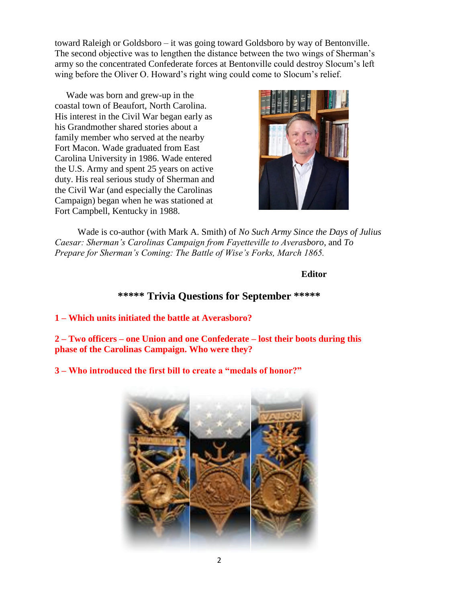toward Raleigh or Goldsboro – it was going toward Goldsboro by way of Bentonville. The second objective was to lengthen the distance between the two wings of Sherman's army so the concentrated Confederate forces at Bentonville could destroy Slocum's left wing before the Oliver O. Howard's right wing could come to Slocum's relief.

 Wade was born and grew-up in the coastal town of Beaufort, North Carolina. His interest in the Civil War began early as his Grandmother shared stories about a family member who served at the nearby Fort Macon. Wade graduated from East Carolina University in 1986. Wade entered the U.S. Army and spent 25 years on active duty. His real serious study of Sherman and the Civil War (and especially the Carolinas Campaign) began when he was stationed at Fort Campbell, Kentucky in 1988.



 Wade is co-author (with Mark A. Smith) of *No Such Army Since the Days of Julius Caesar: Sherman's Carolinas Campaign from Fayetteville to Averasboro,* and *To Prepare for Sherman's Coming: The Battle of Wise's Forks, March 1865.*

#### **Editor**

# **\*\*\*\*\* Trivia Questions for September \*\*\*\*\***

**1 – Which units initiated the battle at Averasboro?** 

**2 – Two officers – one Union and one Confederate – lost their boots during this phase of the Carolinas Campaign. Who were they?**

**3 – Who introduced the first bill to create a "medals of honor?"**

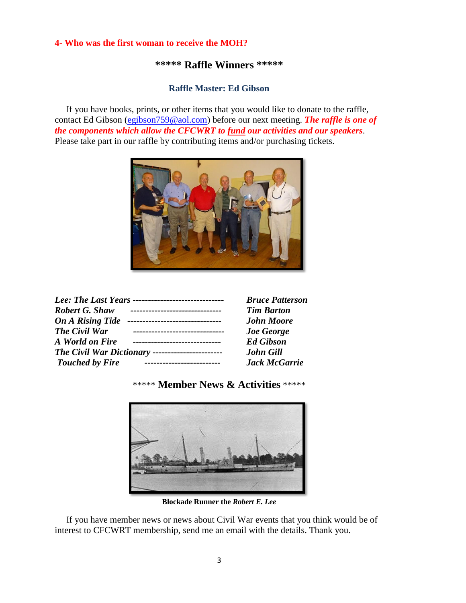#### **4- Who was the first woman to receive the MOH?**

# **\*\*\*\*\* Raffle Winners \*\*\*\*\***

### **Raffle Master: Ed Gibson**

If you have books, prints, or other items that you would like to donate to the raffle, contact Ed Gibson [\(egibson759@aol.com\)](mailto:egibson759@aol.com) before our next meeting. *The raffle is one of the components which allow the CFCWRT to fund our activities and our speakers*. Please take part in our raffle by contributing items and/or purchasing tickets.



| Lee: The Last Years -------------------------------          | <b>Bruce Patterson</b> |
|--------------------------------------------------------------|------------------------|
| <b>Robert G. Shaw</b><br>-------------------------------     | <b>Tim Barton</b>      |
| <b>On A Rising Tide</b><br>--------------------------------- | <b>John Moore</b>      |
| The Civil War                                                | <b>Joe George</b>      |
| A World on Fire                                              | <b>Ed Gibson</b>       |
| The Civil War Dictionary -----------------------             | <b>John Gill</b>       |
| <b>Touched by Fire</b>                                       | <b>Jack McGarrie</b>   |

# \*\*\*\*\* **Member News & Activities** \*\*\*\*\*



**Blockade Runner the** *Robert E. Lee*

 If you have member news or news about Civil War events that you think would be of interest to CFCWRT membership, send me an email with the details. Thank you.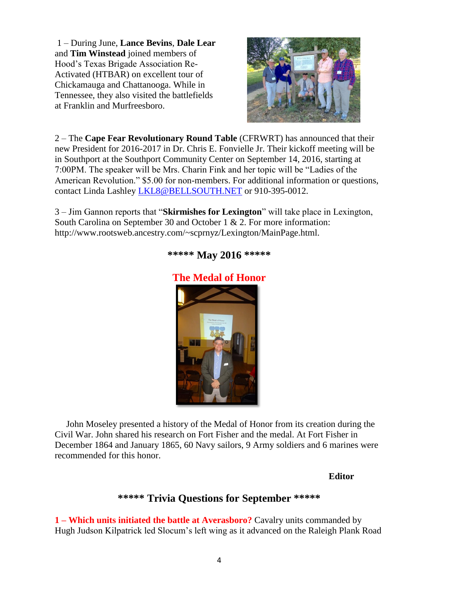1 – During June, **Lance Bevins**, **Dale Lear** and **Tim Winstead** joined members of Hood's Texas Brigade Association Re-Activated (HTBAR) on excellent tour of Chickamauga and Chattanooga. While in Tennessee, they also visited the battlefields at Franklin and Murfreesboro.



2 – The **Cape Fear Revolutionary Round Table** (CFRWRT) has announced that their new President for 2016-2017 in Dr. Chris E. Fonvielle Jr. Their kickoff meeting will be in Southport at the Southport Community Center on September 14, 2016, starting at 7:00PM. The speaker will be Mrs. Charin Fink and her topic will be "Ladies of the American Revolution." \$5.00 for non-members. For additional information or questions, contact Linda Lashley [LKL8@BELLSOUTH.NET](mailto:LKL8@BELLSOUTH.NET) or 910-395-0012.

3 – Jim Gannon reports that "**Skirmishes for Lexington**" will take place in Lexington, South Carolina on September 30 and October 1 & 2. For more information: http://www.rootsweb.ancestry.com/~scprnyz/Lexington/MainPage.html.



## **\*\*\*\*\* May 2016 \*\*\*\*\***

 John Moseley presented a history of the Medal of Honor from its creation during the Civil War. John shared his research on Fort Fisher and the medal. At Fort Fisher in December 1864 and January 1865, 60 Navy sailors, 9 Army soldiers and 6 marines were recommended for this honor.

### **Editor**

# **\*\*\*\*\* Trivia Questions for September \*\*\*\*\***

**1 – Which units initiated the battle at Averasboro?** Cavalry units commanded by Hugh Judson Kilpatrick led Slocum's left wing as it advanced on the Raleigh Plank Road